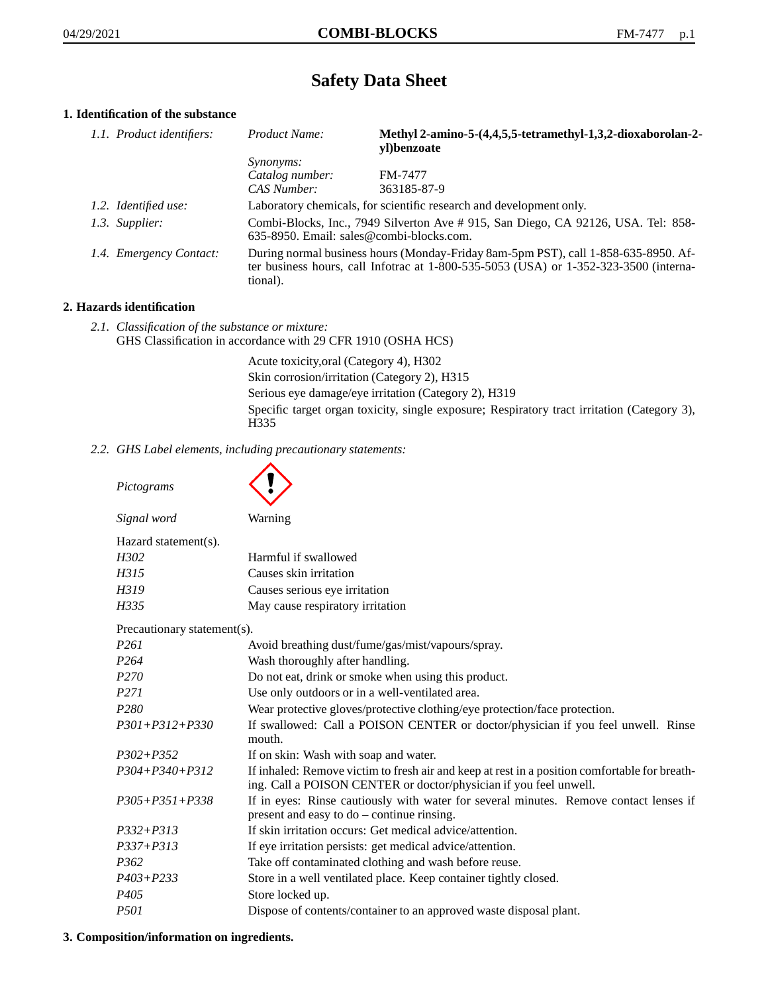# **Safety Data Sheet**

# **1. Identification of the substance**

| 1.1. Product identifiers: | Product Name:                                                                                                                                                                           | Methyl 2-amino-5-(4,4,5,5-tetramethyl-1,3,2-dioxaborolan-2-<br>yl)benzoate |
|---------------------------|-----------------------------------------------------------------------------------------------------------------------------------------------------------------------------------------|----------------------------------------------------------------------------|
|                           | <i>Synonyms:</i>                                                                                                                                                                        |                                                                            |
|                           | Catalog number:                                                                                                                                                                         | FM-7477                                                                    |
|                           | CAS Number:                                                                                                                                                                             | 363185-87-9                                                                |
| 1.2. Identified use:      | Laboratory chemicals, for scientific research and development only.                                                                                                                     |                                                                            |
| 1.3. Supplier:            | Combi-Blocks, Inc., 7949 Silverton Ave #915, San Diego, CA 92126, USA. Tel: 858-<br>635-8950. Email: sales@combi-blocks.com.                                                            |                                                                            |
| 1.4. Emergency Contact:   | During normal business hours (Monday-Friday 8am-5pm PST), call 1-858-635-8950. Af-<br>ter business hours, call Infotrac at 1-800-535-5053 (USA) or 1-352-323-3500 (interna-<br>tional). |                                                                            |

#### **2. Hazards identification**

*2.1. Classification of the substance or mixture:* GHS Classification in accordance with 29 CFR 1910 (OSHA HCS)

> Acute toxicity,oral (Category 4), H302 Skin corrosion/irritation (Category 2), H315 Serious eye damage/eye irritation (Category 2), H319 Specific target organ toxicity, single exposure; Respiratory tract irritation (Category 3), H335

*2.2. GHS Label elements, including precautionary statements:*

| Pictograms                  |                                                                                                                                                                    |
|-----------------------------|--------------------------------------------------------------------------------------------------------------------------------------------------------------------|
| Signal word                 | Warning                                                                                                                                                            |
| Hazard statement(s).        |                                                                                                                                                                    |
| H302                        | Harmful if swallowed                                                                                                                                               |
| H315                        | Causes skin irritation                                                                                                                                             |
| H319                        | Causes serious eye irritation                                                                                                                                      |
| H335                        | May cause respiratory irritation                                                                                                                                   |
| Precautionary statement(s). |                                                                                                                                                                    |
| P <sub>261</sub>            | Avoid breathing dust/fume/gas/mist/vapours/spray.                                                                                                                  |
| P <sub>264</sub>            | Wash thoroughly after handling.                                                                                                                                    |
| P <sub>270</sub>            | Do not eat, drink or smoke when using this product.                                                                                                                |
| P <sub>271</sub>            | Use only outdoors or in a well-ventilated area.                                                                                                                    |
| P <sub>280</sub>            | Wear protective gloves/protective clothing/eye protection/face protection.                                                                                         |
| $P301 + P312 + P330$        | If swallowed: Call a POISON CENTER or doctor/physician if you feel unwell. Rinse<br>mouth.                                                                         |
| $P302 + P352$               | If on skin: Wash with soap and water.                                                                                                                              |
| $P304 + P340 + P312$        | If inhaled: Remove victim to fresh air and keep at rest in a position comfortable for breath-<br>ing. Call a POISON CENTER or doctor/physician if you feel unwell. |
| $P305 + P351 + P338$        | If in eyes: Rinse cautiously with water for several minutes. Remove contact lenses if<br>present and easy to do - continue rinsing.                                |
| $P332 + P313$               | If skin irritation occurs: Get medical advice/attention.                                                                                                           |
| $P337 + P313$               | If eye irritation persists: get medical advice/attention.                                                                                                          |
| P <sub>362</sub>            | Take off contaminated clothing and wash before reuse.                                                                                                              |
| $P403 + P233$               | Store in a well ventilated place. Keep container tightly closed.                                                                                                   |
| P405                        | Store locked up.                                                                                                                                                   |
| P501                        | Dispose of contents/container to an approved waste disposal plant.                                                                                                 |

#### **3. Composition/information on ingredients.**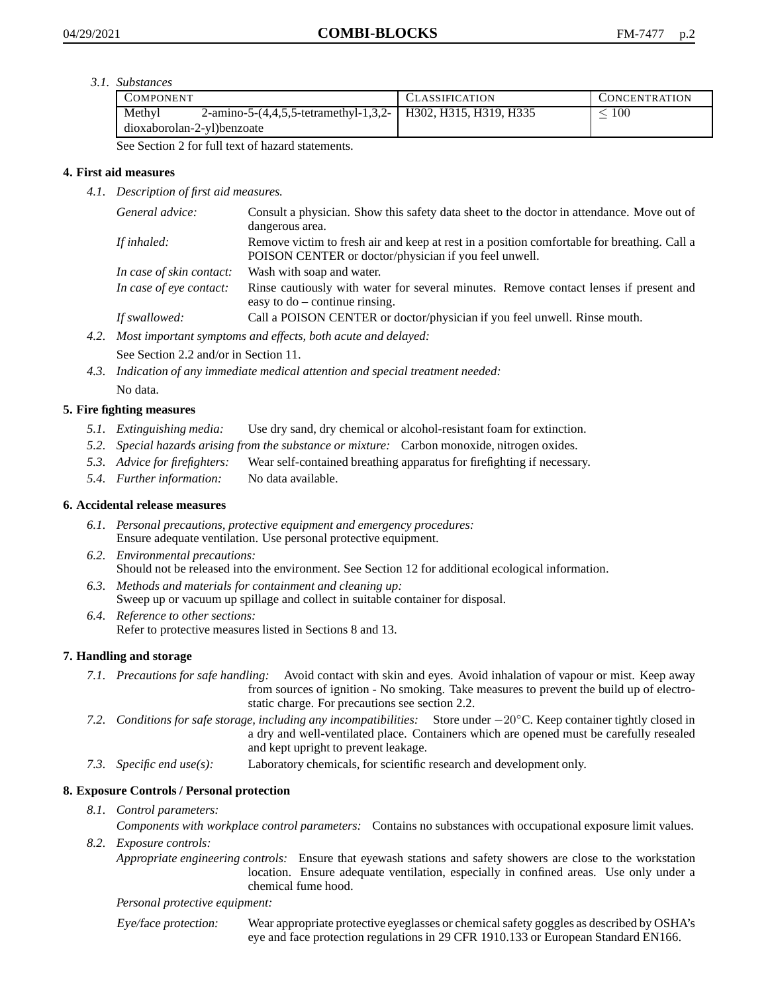*3.1. Substances*

| <b>COMPONENT</b>           |                                                                | <b>CLASSIFICATION</b> | <b>CONCENTRATION</b> |
|----------------------------|----------------------------------------------------------------|-----------------------|----------------------|
| Methyl                     | 2-amino-5-(4,4,5,5-tetramethyl-1,3,2-   H302, H315, H319, H335 |                       | 100                  |
| dioxaborolan-2-yl)benzoate |                                                                |                       |                      |

See Section 2 for full text of hazard statements.

### **4. First aid measures**

*4.1. Description of first aid measures.*

| General advice:          | Consult a physician. Show this safety data sheet to the doctor in attendance. Move out of<br>dangerous area.                                         |
|--------------------------|------------------------------------------------------------------------------------------------------------------------------------------------------|
| If inhaled:              | Remove victim to fresh air and keep at rest in a position comfortable for breathing. Call a<br>POISON CENTER or doctor/physician if you feel unwell. |
| In case of skin contact: | Wash with soap and water.                                                                                                                            |
| In case of eye contact:  | Rinse cautiously with water for several minutes. Remove contact lenses if present and<br>easy to $do$ – continue rinsing.                            |
| If swallowed:            | Call a POISON CENTER or doctor/physician if you feel unwell. Rinse mouth.                                                                            |

- *4.2. Most important symptoms and effects, both acute and delayed:* See Section 2.2 and/or in Section 11.
- *4.3. Indication of any immediate medical attention and special treatment needed:* No data.

## **5. Fire fighting measures**

- *5.1. Extinguishing media:* Use dry sand, dry chemical or alcohol-resistant foam for extinction.
- *5.2. Special hazards arising from the substance or mixture:* Carbon monoxide, nitrogen oxides.
- *5.3. Advice for firefighters:* Wear self-contained breathing apparatus for firefighting if necessary.
- *5.4. Further information:* No data available.

### **6. Accidental release measures**

- *6.1. Personal precautions, protective equipment and emergency procedures:* Ensure adequate ventilation. Use personal protective equipment.
- *6.2. Environmental precautions:* Should not be released into the environment. See Section 12 for additional ecological information.
- *6.3. Methods and materials for containment and cleaning up:* Sweep up or vacuum up spillage and collect in suitable container for disposal.
- *6.4. Reference to other sections:* Refer to protective measures listed in Sections 8 and 13.

### **7. Handling and storage**

- *7.1. Precautions for safe handling:* Avoid contact with skin and eyes. Avoid inhalation of vapour or mist. Keep away from sources of ignition - No smoking. Take measures to prevent the build up of electrostatic charge. For precautions see section 2.2.
- *7.2. Conditions for safe storage, including any incompatibilities:* Store under −20◦C. Keep container tightly closed in a dry and well-ventilated place. Containers which are opened must be carefully resealed and kept upright to prevent leakage.
- *7.3. Specific end use(s):* Laboratory chemicals, for scientific research and development only.

### **8. Exposure Controls / Personal protection**

*8.1. Control parameters:*

*Components with workplace control parameters:* Contains no substances with occupational exposure limit values. *8.2. Exposure controls:*

*Appropriate engineering controls:* Ensure that eyewash stations and safety showers are close to the workstation location. Ensure adequate ventilation, especially in confined areas. Use only under a chemical fume hood.

#### *Personal protective equipment:*

Eye/face protection: Wear appropriate protective eyeglasses or chemical safety goggles as described by OSHA's eye and face protection regulations in 29 CFR 1910.133 or European Standard EN166.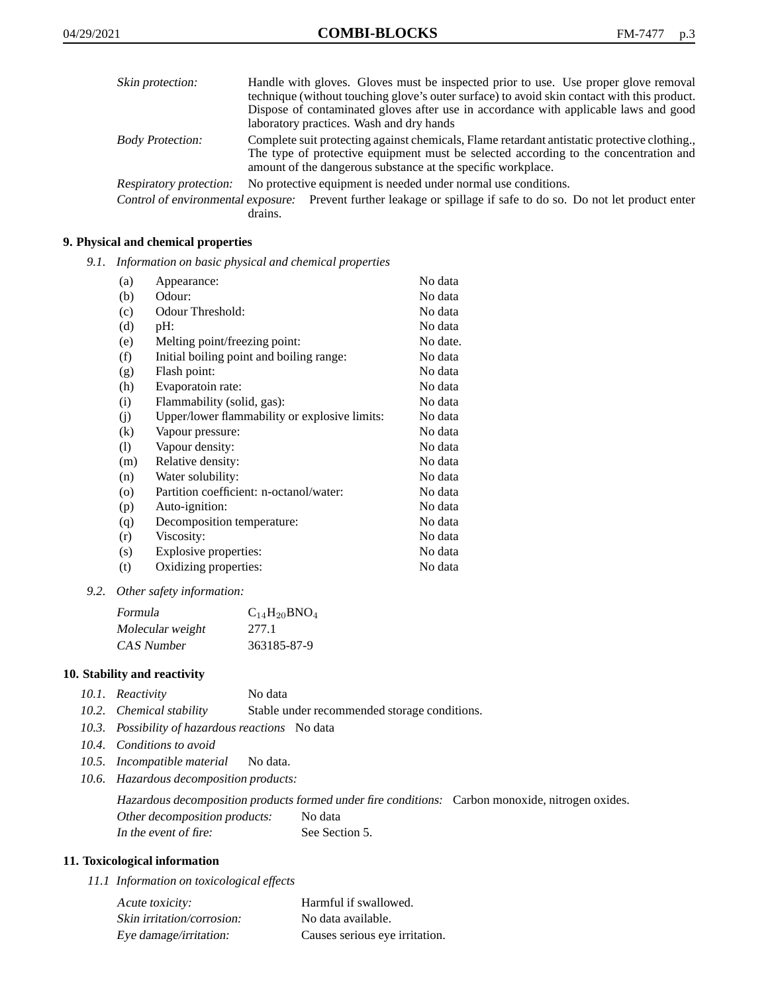| Skin protection:        | Handle with gloves. Gloves must be inspected prior to use. Use proper glove removal<br>technique (without touching glove's outer surface) to avoid skin contact with this product.<br>Dispose of contaminated gloves after use in accordance with applicable laws and good<br>laboratory practices. Wash and dry hands |
|-------------------------|------------------------------------------------------------------------------------------------------------------------------------------------------------------------------------------------------------------------------------------------------------------------------------------------------------------------|
| <b>Body Protection:</b> | Complete suit protecting against chemicals, Flame retardant antistatic protective clothing.<br>The type of protective equipment must be selected according to the concentration and<br>amount of the dangerous substance at the specific workplace.                                                                    |
| Respiratory protection: | No protective equipment is needed under normal use conditions.                                                                                                                                                                                                                                                         |
|                         | Control of environmental exposure: Prevent further leakage or spillage if safe to do so. Do not let product enter<br>drains.                                                                                                                                                                                           |

- **9. Physical and chemical properties**
	- *9.1. Information on basic physical and chemical properties*

| (a)                | Appearance:                                   | No data  |
|--------------------|-----------------------------------------------|----------|
| (b)                | Odour:                                        | No data  |
| (c)                | Odour Threshold:                              | No data  |
| (d)                | pH:                                           | No data  |
| (e)                | Melting point/freezing point:                 | No date. |
| (f)                | Initial boiling point and boiling range:      | No data  |
| (g)                | Flash point:                                  | No data  |
| (h)                | Evaporatoin rate:                             | No data  |
| (i)                | Flammability (solid, gas):                    | No data  |
| (i)                | Upper/lower flammability or explosive limits: | No data  |
| $\left( k\right)$  | Vapour pressure:                              | No data  |
| (1)                | Vapour density:                               | No data  |
| (m)                | Relative density:                             | No data  |
| (n)                | Water solubility:                             | No data  |
| $\left( 0 \right)$ | Partition coefficient: n-octanol/water:       | No data  |
| (p)                | Auto-ignition:                                | No data  |
| (q)                | Decomposition temperature:                    | No data  |
| (r)                | Viscosity:                                    | No data  |
| (s)                | Explosive properties:                         | No data  |
| (t)                | Oxidizing properties:                         | No data  |
|                    |                                               |          |

*9.2. Other safety information:*

| Formula          | $C_{14}H_{20}BNO_4$ |
|------------------|---------------------|
| Molecular weight | 277.1               |
| CAS Number       | 363185-87-9         |

#### **10. Stability and reactivity**

- *10.1. Reactivity* No data
- *10.2. Chemical stability* Stable under recommended storage conditions.
- *10.3. Possibility of hazardous reactions* No data
- *10.4. Conditions to avoid*
- *10.5. Incompatible material* No data.
- *10.6. Hazardous decomposition products:*

Hazardous decomposition products formed under fire conditions: Carbon monoxide, nitrogen oxides. Other decomposition products: No data In the event of fire: See Section 5.

#### **11. Toxicological information**

*11.1 Information on toxicological effects*

| Acute toxicity:            | Harmful if swallowed.          |
|----------------------------|--------------------------------|
| Skin irritation/corrosion: | No data available.             |
| Eye damage/irritation:     | Causes serious eye irritation. |